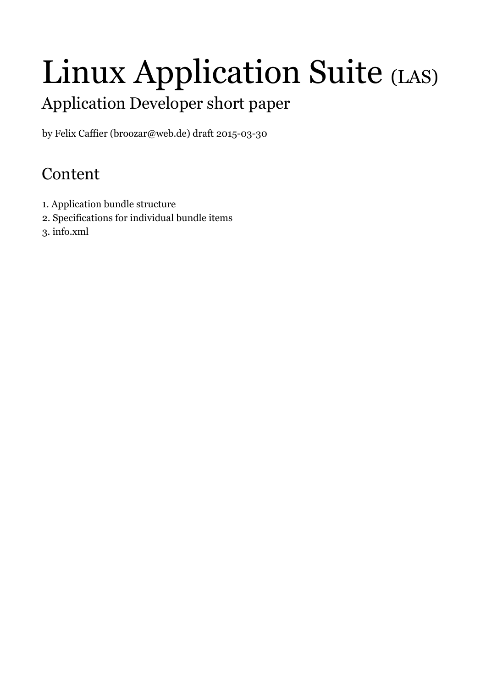# Linux Application Suite (LAS)

# Application Developer short paper

by Felix Caffier (broozar@web.de) draft 2015-03-30

## Content

- 1. Application bundle structure
- 2. Specifications for individual bundle items
- 3. info.xml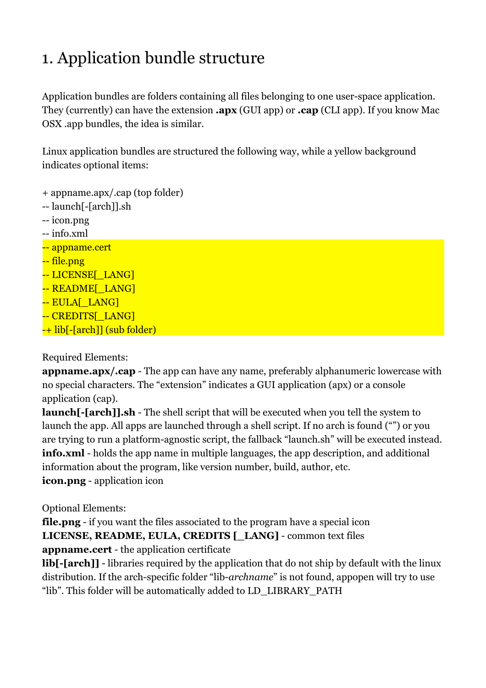# 1. Application bundle structure

Application bundles are folders containing all files belonging to one user-space application. They (currently) can have the extension **.apx** (GUI app) or **.cap** (CLI app). If you know Mac OSX .app bundles, the idea is similar.

Linux application bundles are structured the following way, while a yellow background indicates optional items:

```
+ appname.apx/.cap (top folder)
```

```
-- launch[-[arch]].sh
```
- -- icon.png
- -- info.xml
- -- appname.cert
- -- file.png
- -- LICENSE<sup>[ LANG]</sup>
- -- README<sup>[LANG]</sup>
- -- EULA<sub>L</sub> LANG]
- -- CREDITS[ LANG]
- -+ lib[-[arch]] (sub folder)

### Required Elements:

**appname.apx/.cap** - The app can have any name, preferably alphanumeric lowercase with no special characters. The "extension" indicates a GUI application (apx) or a console application (cap).

**launch**[-[arch]].sh - The shell script that will be executed when you tell the system to launch the app. All apps are launched through a shell script. If no arch is found ("") or you are trying to run a platform-agnostic script, the fallback "launch.sh" will be executed instead. **info.xml** - holds the app name in multiple languages, the app description, and additional information about the program, like version number, build, author, etc. **icon.png** - application icon

## Optional Elements:

**file.png** - if you want the files associated to the program have a special icon **LICENSE, README, EULA, CREDITS [\_LANG]** - common text files **appname.cert** - the application certificate

**lib[-[arch]]** - libraries required by the application that do not ship by default with the linux distribution. If the arch-specific folder "lib-*archname*" is not found, appopen will try to use "lib". This folder will be automatically added to LD\_LIBRARY\_PATH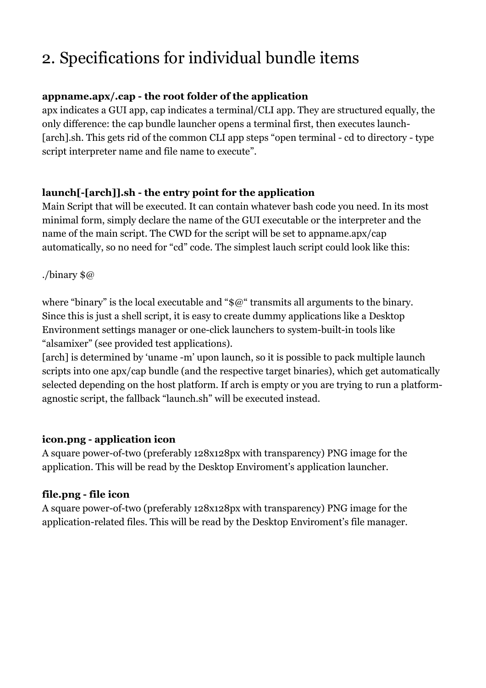# 2. Specifications for individual bundle items

#### **appname.apx/.cap - the root folder of the application**

apx indicates a GUI app, cap indicates a terminal/CLI app. They are structured equally, the only difference: the cap bundle launcher opens a terminal first, then executes launch- [arch].sh. This gets rid of the common CLI app steps "open terminal - cd to directory - type script interpreter name and file name to execute".

#### **launch[-[arch]].sh - the entry point for the application**

Main Script that will be executed. It can contain whatever bash code you need. In its most minimal form, simply declare the name of the GUI executable or the interpreter and the name of the main script. The CWD for the script will be set to appname.apx/cap automatically, so no need for "cd" code. The simplest lauch script could look like this:

#### ./binary \$@

where "binary" is the local executable and " $\alpha$ " transmits all arguments to the binary. Since this is just a shell script, it is easy to create dummy applications like a Desktop Environment settings manager or one-click launchers to system-built-in tools like "alsamixer" (see provided test applications).

[arch] is determined by 'uname -m' upon launch, so it is possible to pack multiple launch scripts into one apx/cap bundle (and the respective target binaries), which get automatically selected depending on the host platform. If arch is empty or you are trying to run a platformagnostic script, the fallback "launch.sh" will be executed instead.

#### **icon.png - application icon**

A square power-of-two (preferably 128x128px with transparency) PNG image for the application. This will be read by the Desktop Enviroment's application launcher.

#### **file.png - file icon**

A square power-of-two (preferably 128x128px with transparency) PNG image for the application-related files. This will be read by the Desktop Enviroment's file manager.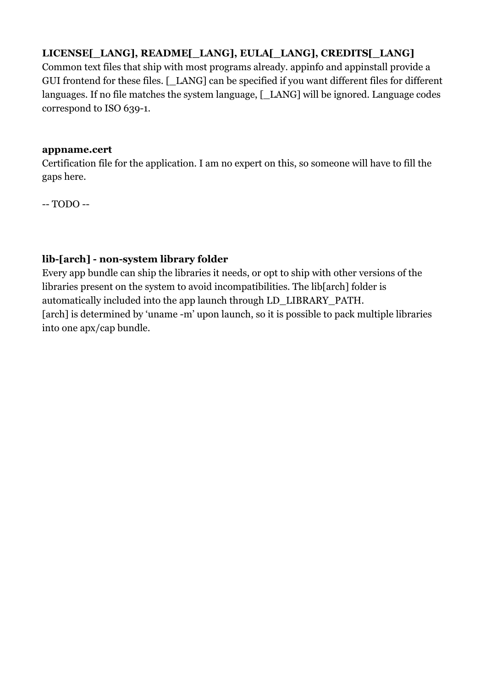## **LICENSE[\_LANG], README[\_LANG], EULA[\_LANG], CREDITS[\_LANG]**

Common text files that ship with most programs already. appinfo and appinstall provide a GUI frontend for these files. [ LANG] can be specified if you want different files for different languages. If no file matches the system language, [ LANG] will be ignored. Language codes correspond to ISO 639-1.

#### **appname.cert**

Certification file for the application. I am no expert on this, so someone will have to fill the gaps here.

-- TODO --

## **lib-[arch] - non-system library folder**

Every app bundle can ship the libraries it needs, or opt to ship with other versions of the libraries present on the system to avoid incompatibilities. The lib[arch] folder is automatically included into the app launch through LD\_LIBRARY\_PATH. [arch] is determined by 'uname -m' upon launch, so it is possible to pack multiple libraries into one apx/cap bundle.